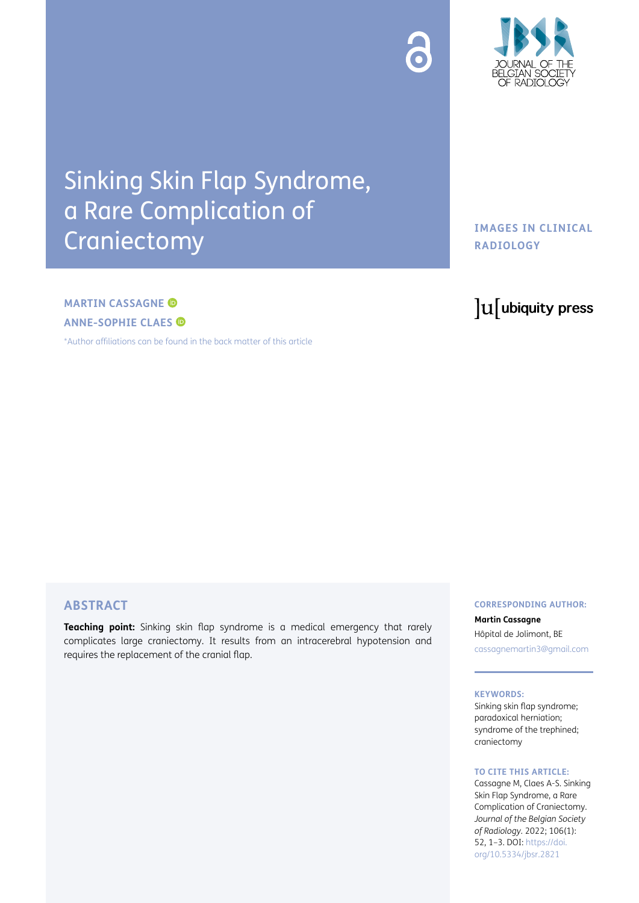

# Sinking Skin Flap Syndrome, a Rare Complication of Craniectomy

# **IMAGES IN CLINICAL RADIOLOGY**

# **MARTIN CASSAGNE ANNE-SOPHIE CLAES**

[\\*Author affiliations can be found in the back matter of this article](#page-2-0)

# lu ubiquity press

# **ABSTRACT**

**Teaching point:** Sinking skin flap syndrome is a medical emergency that rarely complicates large craniectomy. It results from an intracerebral hypotension and requires the replacement of the cranial flap.

### **CORRESPONDING AUTHOR:**

## **Martin Cassagne** Hôpital de Jolimont, BE

[cassagnemartin3@gmail.com](mailto:cassagnemartin3@gmail.com)

#### **KEYWORDS:**

Sinking skin flap syndrome; paradoxical herniation; syndrome of the trephined; craniectomy

#### **TO CITE THIS ARTICLE:**

Cassagne M, Claes A-S. Sinking Skin Flap Syndrome, a Rare Complication of Craniectomy. *Journal of the Belgian Society of Radiology.* 2022; 106(1): 52, 1–3. DOI: [https://doi.](https://doi.org/10.5334/jbsr.2821) [org/10.5334/jbsr.2821](https://doi.org/10.5334/jbsr.2821)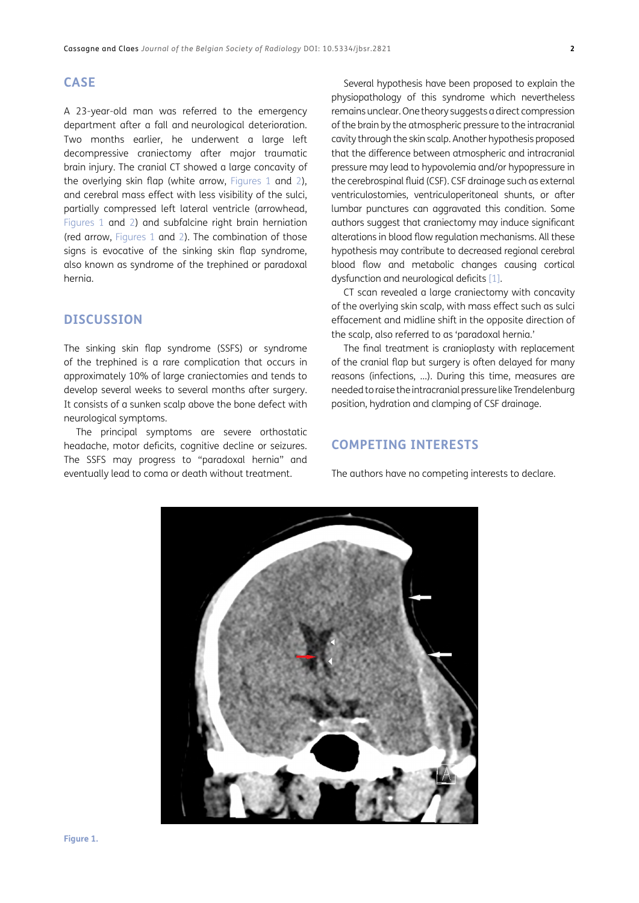# **CASE**

A 23-year-old man was referred to the emergency department after a fall and neurological deterioration. Two months earlier, he underwent a large left decompressive craniectomy after major traumatic brain injury. The cranial CT showed a large concavity of the overlying skin flap (white arrow, [Figures 1](#page-1-0) and [2](#page-2-1)), and cerebral mass effect with less visibility of the sulci, partially compressed left lateral ventricle (arrowhead, [Figures 1](#page-1-0) and [2\)](#page-2-1) and subfalcine right brain herniation (red arrow, [Figures 1](#page-1-0) and [2\)](#page-2-1). The combination of those signs is evocative of the sinking skin flap syndrome, also known as syndrome of the trephined or paradoxal hernia.

# **DISCUSSION**

The sinking skin flap syndrome (SSFS) or syndrome of the trephined is a rare complication that occurs in approximately 10% of large craniectomies and tends to develop several weeks to several months after surgery. It consists of a sunken scalp above the bone defect with neurological symptoms.

The principal symptoms are severe orthostatic headache, motor deficits, cognitive decline or seizures. The SSFS may progress to "paradoxal hernia" and eventually lead to coma or death without treatment.

Several hypothesis have been proposed to explain the physiopathology of this syndrome which nevertheless remains unclear. One theory suggests a direct compression of the brain by the atmospheric pressure to the intracranial cavity through the skin scalp. Another hypothesis proposed that the difference between atmospheric and intracranial pressure may lead to hypovolemia and/or hypopressure in the cerebrospinal fluid (CSF). CSF drainage such as external ventriculostomies, ventriculoperitoneal shunts, or after lumbar punctures can aggravated this condition. Some authors suggest that craniectomy may induce significant alterations in blood flow regulation mechanisms. All these hypothesis may contribute to decreased regional cerebral blood flow and metabolic changes causing cortical dysfunction and neurological deficits [\[1](#page-2-2)].

CT scan revealed a large craniectomy with concavity of the overlying skin scalp, with mass effect such as sulci effacement and midline shift in the opposite direction of the scalp, also referred to as 'paradoxal hernia.'

The final treatment is cranioplasty with replacement of the cranial flap but surgery is often delayed for many reasons (infections, …). During this time, measures are needed to raise the intracranial pressure like Trendelenburg position, hydration and clamping of CSF drainage.

# **COMPETING INTERESTS**

The authors have no competing interests to declare.

<span id="page-1-0"></span>